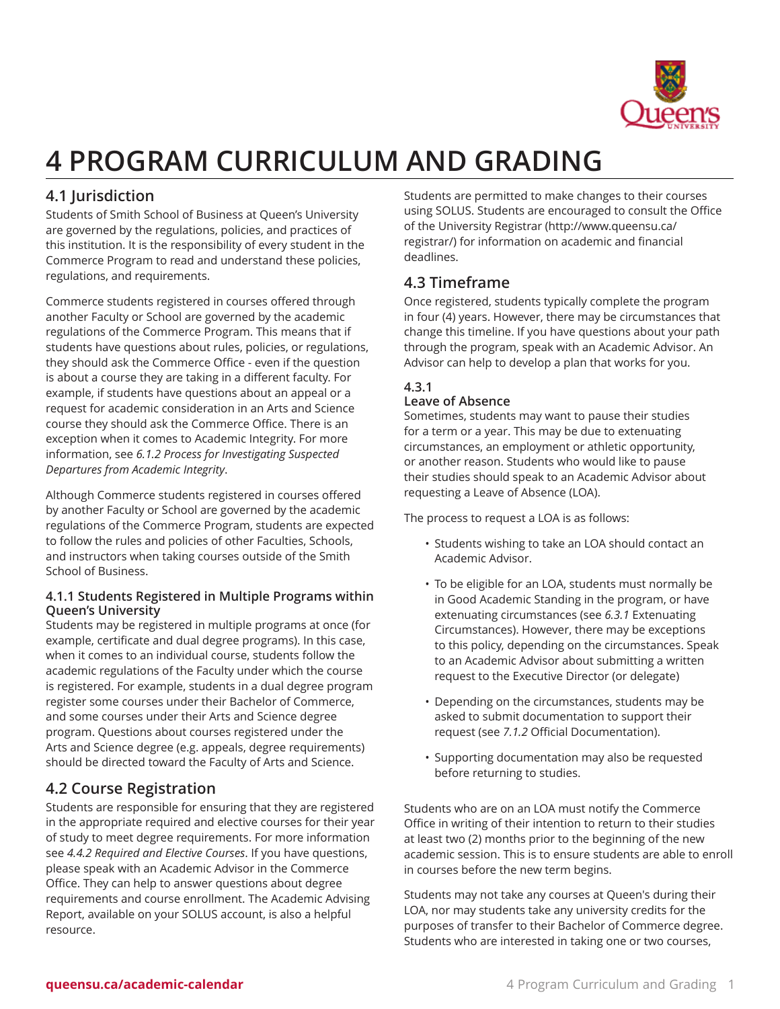

# **4 PROGRAM CURRICULUM AND GRADING**

# **4.1 Jurisdiction**

Students of Smith School of Business at Queen's University are governed by the regulations, policies, and practices of this institution. It is the responsibility of every student in the Commerce Program to read and understand these policies, regulations, and requirements.

Commerce students registered in courses offered through another Faculty or School are governed by the academic regulations of the Commerce Program. This means that if students have questions about rules, policies, or regulations, they should ask the Commerce Office - even if the question is about a course they are taking in a different faculty. For example, if students have questions about an appeal or a request for academic consideration in an Arts and Science course they should ask the Commerce Office. There is an exception when it comes to Academic Integrity. For more information, see *6.1.2 Process for Investigating Suspected Departures from Academic Integrity*.

Although Commerce students registered in courses offered by another Faculty or School are governed by the academic regulations of the Commerce Program, students are expected to follow the rules and policies of other Faculties, Schools, and instructors when taking courses outside of the Smith School of Business.

### **4.1.1 Students Registered in Multiple Programs within Queen's University**

Students may be registered in multiple programs at once (for example, certificate and dual degree programs). In this case, when it comes to an individual course, students follow the academic regulations of the Faculty under which the course is registered. For example, students in a dual degree program register some courses under their Bachelor of Commerce, and some courses under their Arts and Science degree program. Questions about courses registered under the Arts and Science degree (e.g. appeals, degree requirements) should be directed toward the Faculty of Arts and Science.

# **4.2 Course Registration**

Students are responsible for ensuring that they are registered in the appropriate required and elective courses for their year of study to meet degree requirements. For more information see *4.4.2 Required and Elective Courses*. If you have questions, please speak with an Academic Advisor in the Commerce Office. They can help to answer questions about degree requirements and course enrollment. The Academic Advising Report, available on your SOLUS account, is also a helpful resource.

Students are permitted to make changes to their courses using SOLUS. Students are encouraged to consult the [Office](http://www.queensu.ca/registrar/) of the [University](http://www.queensu.ca/registrar/) Registrar ([http://www.queensu.ca/](http://www.queensu.ca/registrar/) [registrar/\)](http://www.queensu.ca/registrar/) for information on academic and financial deadlines.

# **4.3 Timeframe**

Once registered, students typically complete the program in four (4) years. However, there may be circumstances that change this timeline. If you have questions about your path through the program, speak with an Academic Advisor. An Advisor can help to develop a plan that works for you.

#### **4.3.1 Leave of Absence**

Sometimes, students may want to pause their studies for a term or a year. This may be due to extenuating circumstances, an employment or athletic opportunity, or another reason. Students who would like to pause their studies should speak to an Academic Advisor about requesting a Leave of Absence (LOA).

The process to request a LOA is as follows:

- Students wishing to take an LOA should contact an Academic Advisor.
- To be eligible for an LOA, students must normally be in Good Academic Standing in the program, or have extenuating circumstances (see *6.3.1* Extenuating Circumstances). However, there may be exceptions to this policy, depending on the circumstances. Speak to an Academic Advisor about submitting a written request to the Executive Director (or delegate)
- Depending on the circumstances, students may be asked to submit documentation to support their request (see *7.1.2* Official Documentation).
- Supporting documentation may also be requested before returning to studies.

Students who are on an LOA must notify the Commerce Office in writing of their intention to return to their studies at least two (2) months prior to the beginning of the new academic session. This is to ensure students are able to enroll in courses before the new term begins.

Students may not take any courses at Queen's during their LOA, nor may students take any university credits for the purposes of transfer to their Bachelor of Commerce degree. Students who are interested in taking one or two courses,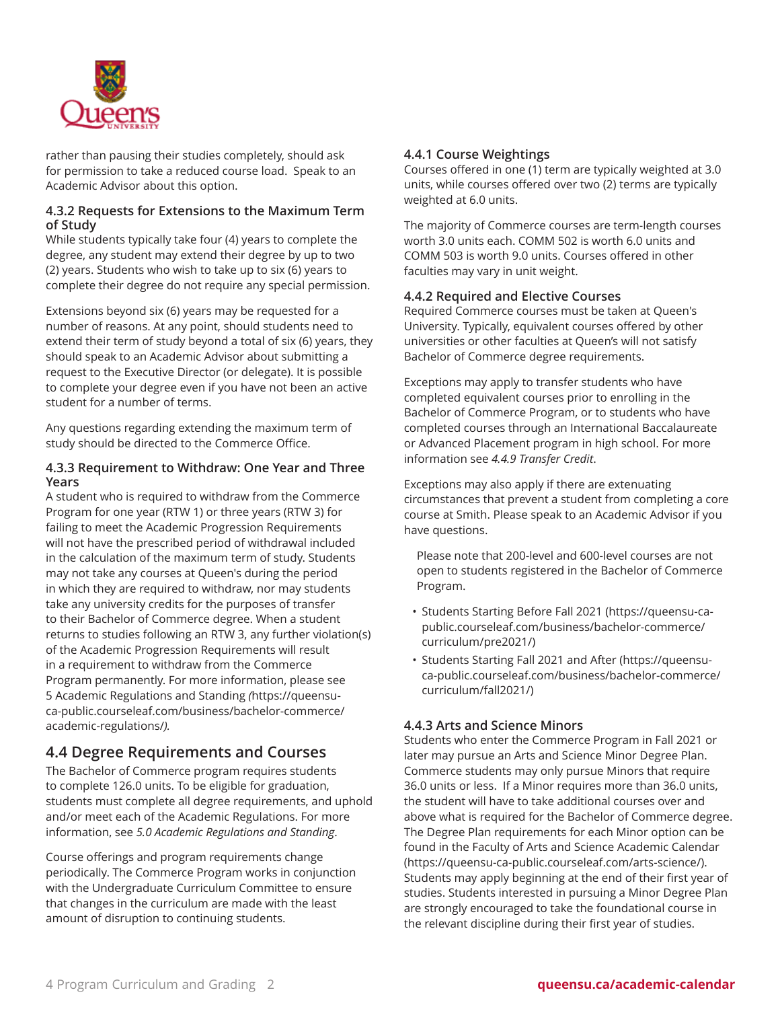

rather than pausing their studies completely, should ask for permission to take a reduced course load. Speak to an Academic Advisor about this option.

### **4.3.2 Requests for Extensions to the Maximum Term of Study**

While students typically take four (4) years to complete the degree, any student may extend their degree by up to two (2) years. Students who wish to take up to six (6) years to complete their degree do not require any special permission.

Extensions beyond six (6) years may be requested for a number of reasons. At any point, should students need to extend their term of study beyond a total of six (6) years, they should speak to an Academic Advisor about submitting a request to the Executive Director (or delegate). It is possible to complete your degree even if you have not been an active student for a number of terms.

Any questions regarding extending the maximum term of study should be directed to the Commerce Office.

#### **4.3.3 Requirement to Withdraw: One Year and Three Years**

A student who is required to withdraw from the Commerce Program for one year (RTW 1) or three years (RTW 3) for failing to meet the Academic Progression Requirements will not have the prescribed period of withdrawal included in the calculation of the maximum term of study. Students may not take any courses at Queen's during the period in which they are required to withdraw, nor may students take any university credits for the purposes of transfer to their Bachelor of Commerce degree. When a student returns to studies following an RTW 3, any further violation(s) of the Academic Progression Requirements will result in a requirement to withdraw from the Commerce Program permanently. For more information, please see [5 Academic Regulations and Standing](https://queensu-ca-public.courseleaf.com/business/bachelor-commerce/academic-regulations/) *(*[https://queensu](https://queensu-ca-public.courseleaf.com/business/bachelor-commerce/academic-regulations/)[ca-public.courseleaf.com/business/bachelor-commerce/](https://queensu-ca-public.courseleaf.com/business/bachelor-commerce/academic-regulations/) [academic-regulations/](https://queensu-ca-public.courseleaf.com/business/bachelor-commerce/academic-regulations/)*).*

# **4.4 Degree Requirements and Courses**

The Bachelor of Commerce program requires students to complete 126.0 units. To be eligible for graduation, students must complete all degree requirements, and uphold and/or meet each of the Academic Regulations. For more information, see *5.0 Academic Regulations and Standing*.

Course offerings and program requirements change periodically. The Commerce Program works in conjunction with the Undergraduate Curriculum Committee to ensure that changes in the curriculum are made with the least amount of disruption to continuing students.

### **4.4.1 Course Weightings**

Courses offered in one (1) term are typically weighted at 3.0 units, while courses offered over two (2) terms are typically weighted at 6.0 units.

The majority of Commerce courses are term-length courses worth 3.0 units each. COMM 502 is worth 6.0 units and COMM 503 is worth 9.0 units. Courses offered in other faculties may vary in unit weight.

#### <span id="page-1-0"></span>**4.4.2 Required and Elective Courses**

Required Commerce courses must be taken at Queen's University. Typically, equivalent courses offered by other universities or other faculties at Queen's will not satisfy Bachelor of Commerce degree requirements.

Exceptions may apply to transfer students who have completed equivalent courses prior to enrolling in the Bachelor of Commerce Program, or to students who have completed courses through an International Baccalaureate or Advanced Placement program in high school. For more information see *4.4.9 Transfer Credit*.

Exceptions may also apply if there are extenuating circumstances that prevent a student from completing a core course at Smith. Please speak to an Academic Advisor if you have questions.

Please note that 200-level and 600-level courses are not open to students registered in the Bachelor of Commerce Program.

- [Students](https://queensu-ca-public.courseleaf.com/business/bachelor-commerce/curriculum/pre2021/) Starting Before Fall 2021 [\(https://queensu-ca](https://queensu-ca-public.courseleaf.com/business/bachelor-commerce/curriculum/pre2021/)[public.courseleaf.com/business/bachelor-commerce/](https://queensu-ca-public.courseleaf.com/business/bachelor-commerce/curriculum/pre2021/) [curriculum/pre2021/\)](https://queensu-ca-public.courseleaf.com/business/bachelor-commerce/curriculum/pre2021/)
- [Students Starting Fall 2021 and After](https://queensu-ca-public.courseleaf.com/business/bachelor-commerce/curriculum/fall2021/) [\(https://queensu](https://queensu-ca-public.courseleaf.com/business/bachelor-commerce/curriculum/fall2021/)[ca-public.courseleaf.com/business/bachelor-commerce/](https://queensu-ca-public.courseleaf.com/business/bachelor-commerce/curriculum/fall2021/) [curriculum/fall2021/](https://queensu-ca-public.courseleaf.com/business/bachelor-commerce/curriculum/fall2021/))

### **4.4.3 Arts and Science Minors**

Students who enter the Commerce Program in Fall 2021 or later may pursue an Arts and Science Minor Degree Plan. Commerce students may only pursue Minors that require 36.0 units or less. If a Minor requires more than 36.0 units, the student will have to take additional courses over and above what is required for the Bachelor of Commerce degree. The Degree Plan requirements for each Minor option can be found in the [Faculty of Arts and Science Academic Calendar](https://queensu-ca-public.courseleaf.com/arts-science/) (<https://queensu-ca-public.courseleaf.com/arts-science/>). Students may apply beginning at the end of their first year of studies. Students interested in pursuing a Minor Degree Plan are strongly encouraged to take the foundational course in the relevant discipline during their first year of studies.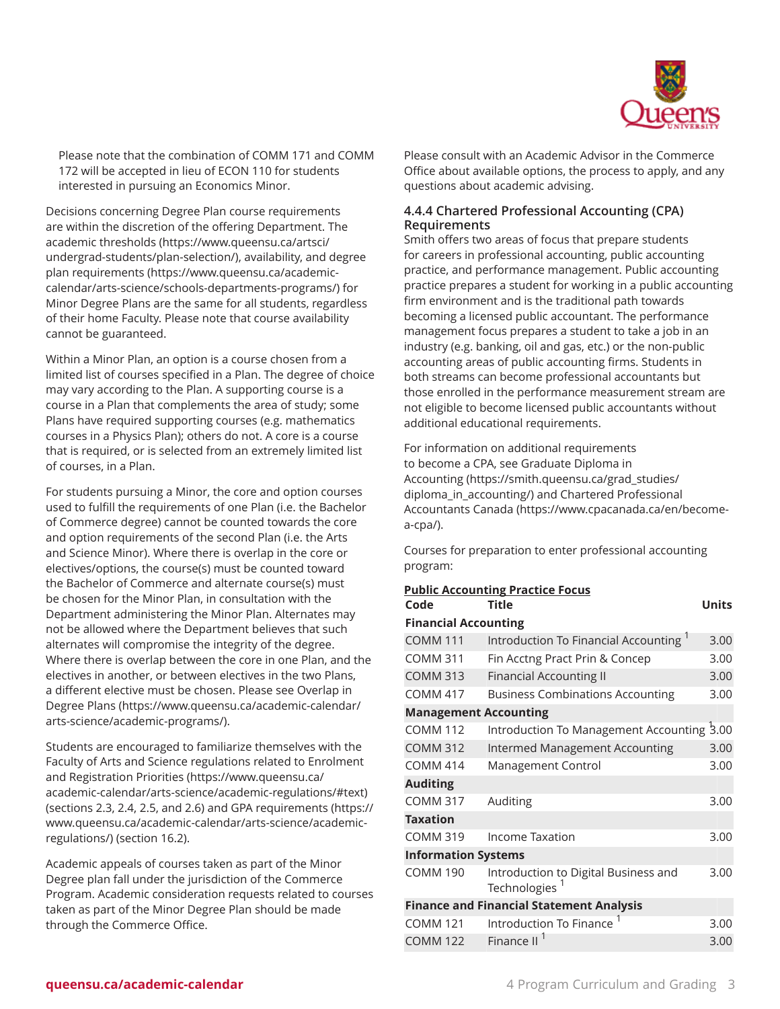

Please note that the combination of COMM 171 and COMM 172 will be accepted in lieu of ECON 110 for students interested in pursuing an Economics Minor.

Decisions concerning Degree Plan course requirements are within the discretion of the offering Department. The academic [thresholds](https://www.queensu.ca/artsci/undergrad-students/plan-selection/) ([https://www.queensu.ca/artsci/](https://www.queensu.ca/artsci/undergrad-students/plan-selection/) [undergrad-students/plan-selection/\)](https://www.queensu.ca/artsci/undergrad-students/plan-selection/), availability, and [degree](https://www.queensu.ca/academic-calendar/arts-science/schools-departments-programs/) plan [requirements](https://www.queensu.ca/academic-calendar/arts-science/schools-departments-programs/) [\(https://www.queensu.ca/academic](https://www.queensu.ca/academic-calendar/arts-science/schools-departments-programs/)[calendar/arts-science/schools-departments-programs/](https://www.queensu.ca/academic-calendar/arts-science/schools-departments-programs/)) for Minor Degree Plans are the same for all students, regardless of their home Faculty. Please note that course availability cannot be guaranteed.

Within a Minor Plan, an option is a course chosen from a limited list of courses specified in a Plan. The degree of choice may vary according to the Plan. A supporting course is a course in a Plan that complements the area of study; some Plans have required supporting courses (e.g. mathematics courses in a Physics Plan); others do not. A core is a course that is required, or is selected from an extremely limited list of courses, in a Plan.

For students pursuing a Minor, the core and option courses used to fulfill the requirements of one Plan (i.e. the Bachelor of Commerce degree) cannot be counted towards the core and option requirements of the second Plan (i.e. the Arts and Science Minor). Where there is overlap in the core or electives/options, the course(s) must be counted toward the Bachelor of Commerce and alternate course(s) must be chosen for the Minor Plan, in consultation with the Department administering the Minor Plan. Alternates may not be allowed where the Department believes that such alternates will compromise the integrity of the degree. Where there is overlap between the core in one Plan, and the electives in another, or between electives in the two Plans, a different elective must be chosen. Please see [Overlap in](https://www.queensu.ca/academic-calendar/arts-science/academic-programs/) [Degree](https://www.queensu.ca/academic-calendar/arts-science/academic-programs/) Plans ([https://www.queensu.ca/academic-calendar/](https://www.queensu.ca/academic-calendar/arts-science/academic-programs/) [arts-science/academic-programs/\)](https://www.queensu.ca/academic-calendar/arts-science/academic-programs/).

Students are encouraged to familiarize themselves with the Faculty of Arts and Science regulations related to [Enrolment](https://www.queensu.ca/academic-calendar/arts-science/academic-regulations/#text) and [Registration](https://www.queensu.ca/academic-calendar/arts-science/academic-regulations/#text) Priorities [\(https://www.queensu.ca/](https://www.queensu.ca/academic-calendar/arts-science/academic-regulations/#text) [academic-calendar/arts-science/academic-regulations/#text\)](https://www.queensu.ca/academic-calendar/arts-science/academic-regulations/#text) (sections 2.3, 2.4, 2.5, and 2.6) and GPA [requirements](https://www.queensu.ca/academic-calendar/arts-science/academic-regulations/) ([https://](https://www.queensu.ca/academic-calendar/arts-science/academic-regulations/) [www.queensu.ca/academic-calendar/arts-science/academic](https://www.queensu.ca/academic-calendar/arts-science/academic-regulations/)[regulations/](https://www.queensu.ca/academic-calendar/arts-science/academic-regulations/)) (section 16.2).

Academic appeals of courses taken as part of the Minor Degree plan fall under the jurisdiction of the Commerce Program. Academic consideration requests related to courses taken as part of the Minor Degree Plan should be made through the Commerce Office.

Please consult with an Academic Advisor in the Commerce Office about available options, the process to apply, and any questions about academic advising.

### **4.4.4 Chartered Professional Accounting (CPA) Requirements**

Smith offers two areas of focus that prepare students for careers in professional accounting, public accounting practice, and performance management. Public accounting practice prepares a student for working in a public accounting firm environment and is the traditional path towards becoming a licensed public accountant. The performance management focus prepares a student to take a job in an industry (e.g. banking, oil and gas, etc.) or the non-public accounting areas of public accounting firms. Students in both streams can become professional accountants but those enrolled in the performance measurement stream are not eligible to become licensed public accountants without additional educational requirements.

For information on additional requirements to become a CPA, see [Graduate](https://smith.queensu.ca/grad_studies/diploma_in_accounting/) Diploma in [Accounting](https://smith.queensu.ca/grad_studies/diploma_in_accounting/) ([https://smith.queensu.ca/grad\\_studies/](https://smith.queensu.ca/grad_studies/diploma_in_accounting/) diploma in accounting/) and Chartered [Professional](https://www.cpacanada.ca/en/become-a-cpa/) [Accountants Canada](https://www.cpacanada.ca/en/become-a-cpa/) [\(https://www.cpacanada.ca/en/become](https://www.cpacanada.ca/en/become-a-cpa/)[a-cpa/](https://www.cpacanada.ca/en/become-a-cpa/)).

Courses for preparation to enter professional accounting program:

### **Public Accounting Practice Focus**

| Code                         | Title                                                | Units |
|------------------------------|------------------------------------------------------|-------|
| <b>Financial Accounting</b>  |                                                      |       |
| <b>COMM 111</b>              | Introduction To Financial Accounting 1               | 3.00  |
| <b>COMM 311</b>              | Fin Acctng Pract Prin & Concep                       | 3.00  |
| <b>COMM 313</b>              | <b>Financial Accounting II</b>                       | 3.00  |
| <b>COMM 417</b>              | <b>Business Combinations Accounting</b>              | 3.00  |
| <b>Management Accounting</b> |                                                      |       |
| <b>COMM 112</b>              | Introduction To Management Accounting 3.00           |       |
| <b>COMM 312</b>              | <b>Intermed Management Accounting</b>                | 3.00  |
| <b>COMM 414</b>              | Management Control                                   | 3.00  |
| <b>Auditing</b>              |                                                      |       |
| <b>COMM 317</b>              | Auditing                                             | 3.00  |
| Taxation                     |                                                      |       |
| <b>COMM 319</b>              | <b>Income Taxation</b>                               | 3.00  |
| <b>Information Systems</b>   |                                                      |       |
| <b>COMM 190</b>              | Introduction to Digital Business and<br>Technologies | 3.00  |
|                              | <b>Finance and Financial Statement Analysis</b>      |       |
| <b>COMM 121</b>              | Introduction To Finance                              | 3.00  |
| <b>COMM 122</b>              | Finance II                                           | 3.00  |
|                              |                                                      |       |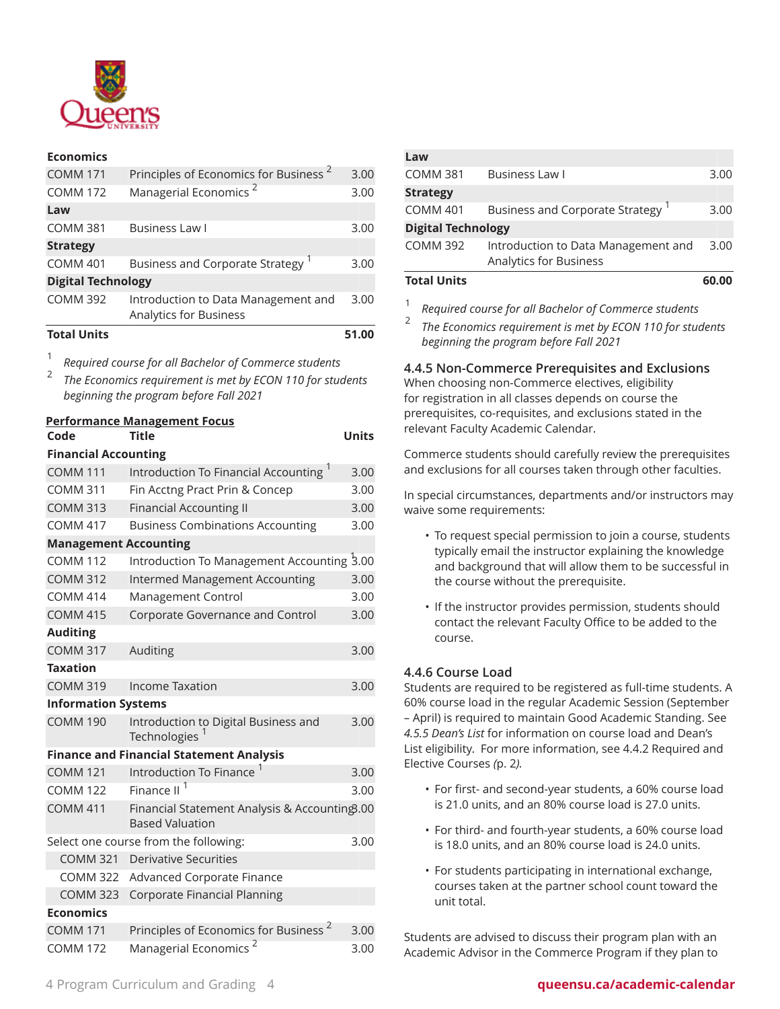

#### **Economics**

| <b>Total Units</b>        |                                                                      | 51.00 |
|---------------------------|----------------------------------------------------------------------|-------|
|                           | Introduction to Data Management and<br><b>Analytics for Business</b> |       |
| <b>COMM 392</b>           |                                                                      | 3.00  |
| <b>Digital Technology</b> |                                                                      |       |
| <b>COMM 401</b>           | <b>Business and Corporate Strategy</b>                               | 3.00  |
| <b>Strategy</b>           |                                                                      |       |
| <b>COMM 381</b>           | <b>Business Law I</b>                                                | 3.00  |
| Law                       |                                                                      |       |
| <b>COMM 172</b>           | Managerial Economics <sup>2</sup>                                    | 3.00  |
| <b>COMM 171</b>           | Principles of Economics for Business <sup>2</sup>                    | 3.00  |
|                           |                                                                      |       |

1 *Required course for all Bachelor of Commerce students*

2 *The Economics requirement is met by ECON 110 for students beginning the program before Fall 2021*

#### **Performance Management Focus Code Title Units**

1

| <b>Financial Accounting</b>  |                                                                         |      |  |
|------------------------------|-------------------------------------------------------------------------|------|--|
| <b>COMM 111</b>              | Introduction To Financial Accounting <sup>1</sup>                       | 3.00 |  |
| <b>COMM 311</b>              | Fin Acctng Pract Prin & Concep                                          | 3.00 |  |
| <b>COMM 313</b>              | <b>Financial Accounting II</b>                                          | 3.00 |  |
| <b>COMM 417</b>              | <b>Business Combinations Accounting</b>                                 | 3.00 |  |
| <b>Management Accounting</b> |                                                                         |      |  |
| <b>COMM 112</b>              | Introduction To Management Accounting 3.00                              |      |  |
| <b>COMM 312</b>              | <b>Intermed Management Accounting</b>                                   | 3.00 |  |
| <b>COMM 414</b>              | Management Control                                                      | 3.00 |  |
| <b>COMM 415</b>              | Corporate Governance and Control                                        | 3.00 |  |
| <b>Auditing</b>              |                                                                         |      |  |
| <b>COMM 317</b>              | Auditing                                                                | 3.00 |  |
| <b>Taxation</b>              |                                                                         |      |  |
| <b>COMM 319</b>              | <b>Income Taxation</b>                                                  | 3.00 |  |
| <b>Information Systems</b>   |                                                                         |      |  |
| <b>COMM 190</b>              | Introduction to Digital Business and<br>Technologies <sup>1</sup>       | 3.00 |  |
|                              | <b>Finance and Financial Statement Analysis</b>                         |      |  |
| <b>COMM 121</b>              | Introduction To Finance <sup>1</sup>                                    | 3.00 |  |
| <b>COMM 122</b>              | Finance II <sup>1</sup>                                                 | 3.00 |  |
| <b>COMM 411</b>              | Financial Statement Analysis & Accounting3.00<br><b>Based Valuation</b> |      |  |
|                              | Select one course from the following:                                   | 3.00 |  |
| <b>COMM 321</b>              | <b>Derivative Securities</b>                                            |      |  |
| <b>COMM 322</b>              | Advanced Corporate Finance                                              |      |  |
| <b>COMM 323</b>              | Corporate Financial Planning                                            |      |  |
| <b>Economics</b>             |                                                                         |      |  |
| <b>COMM 171</b>              | Principles of Economics for Business <sup>2</sup>                       | 3.00 |  |
| <b>COMM 172</b>              | <b>Managerial Economics</b>                                             | 3.00 |  |

| Law                       |                                                                      |       |
|---------------------------|----------------------------------------------------------------------|-------|
| <b>COMM 381</b>           | <b>Business Law I</b>                                                | 3.00  |
| <b>Strategy</b>           |                                                                      |       |
| <b>COMM 401</b>           | <b>Business and Corporate Strategy</b>                               | 3.00  |
| <b>Digital Technology</b> |                                                                      |       |
| <b>COMM 392</b>           | Introduction to Data Management and<br><b>Analytics for Business</b> | 3.00  |
| <b>Total Units</b>        |                                                                      | 60.00 |

*Required course for all Bachelor of Commerce students*

2 *The Economics requirement is met by ECON 110 for students beginning the program before Fall 2021*

### **4.4.5 Non-Commerce Prerequisites and Exclusions**

When choosing non-Commerce electives, eligibility for registration in all classes depends on course the prerequisites, co-requisites, and exclusions stated in the relevant Faculty Academic Calendar.

Commerce students should carefully review the prerequisites and exclusions for all courses taken through other faculties.

In special circumstances, departments and/or instructors may waive some requirements:

- To request special permission to join a course, students typically email the instructor explaining the knowledge and background that will allow them to be successful in the course without the prerequisite.
- If the instructor provides permission, students should contact the relevant Faculty Office to be added to the course.

### **4.4.6 Course Load**

Students are required to be registered as full-time students. A 60% course load in the regular Academic Session (September – April) is required to maintain Good Academic Standing. See *4.5.5 Dean's List* for information on course load and Dean's List eligibility. For more information, see 4.4.2 [Required](#page-1-0) and [Elective Courses](#page-1-0) *(*[p. 2](#page-1-0)*).*

- For first- and second-year students, a 60% course load is 21.0 units, and an 80% course load is 27.0 units.
- For third- and fourth-year students, a 60% course load is 18.0 units, and an 80% course load is 24.0 units.
- For students participating in international exchange, courses taken at the partner school count toward the unit total.

Students are advised to discuss their program plan with an Academic Advisor in the Commerce Program if they plan to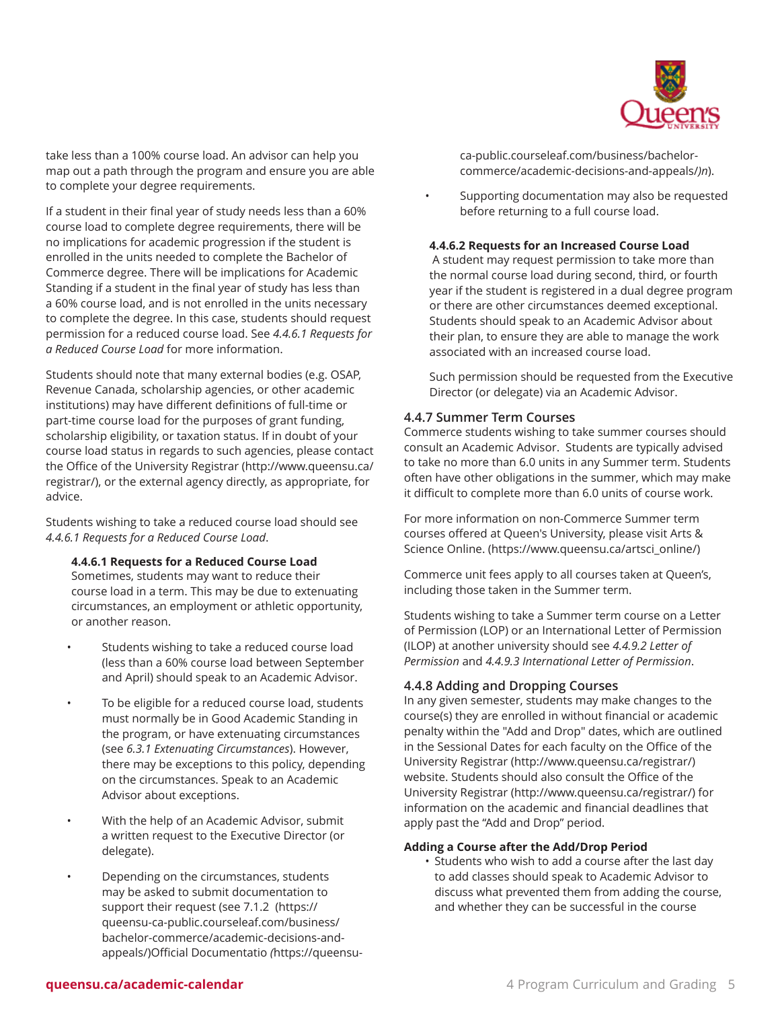

take less than a 100% course load. An advisor can help you map out a path through the program and ensure you are able to complete your degree requirements.

If a student in their final year of study needs less than a 60% course load to complete degree requirements, there will be no implications for academic progression if the student is enrolled in the units needed to complete the Bachelor of Commerce degree. There will be implications for Academic Standing if a student in the final year of study has less than a 60% course load, and is not enrolled in the units necessary to complete the degree. In this case, students should request permission for a reduced course load. See *4.4.6.1 Requests for a Reduced Course Load* for more information.

Students should note that many external bodies (e.g. OSAP, Revenue Canada, scholarship agencies, or other academic institutions) may have different definitions of full-time or part-time course load for the purposes of grant funding, scholarship eligibility, or taxation status. If in doubt of your course load status in regards to such agencies, please contact the Office of the [University](http://www.queensu.ca/registrar/) Registrar ([http://www.queensu.ca/](http://www.queensu.ca/registrar/) [registrar/\)](http://www.queensu.ca/registrar/), or the external agency directly, as appropriate, for advice.

Students wishing to take a reduced course load should see *4.4.6.1 Requests for a Reduced Course Load*.

#### **4.4.6.1 Requests for a Reduced Course Load**

Sometimes, students may want to reduce their course load in a term. This may be due to extenuating circumstances, an employment or athletic opportunity, or another reason.

- Students wishing to take a reduced course load (less than a 60% course load between September and April) should speak to an Academic Advisor.
- To be eligible for a reduced course load, students must normally be in Good Academic Standing in the program, or have extenuating circumstances (see *6.3.1 Extenuating Circumstances*). However, there may be exceptions to this policy, depending on the circumstances. Speak to an Academic Advisor about exceptions.
- With the help of an Academic Advisor, submit a written request to the Executive Director (or delegate).
- Depending on the circumstances, students may be asked to submit documentation to support their request (see [7.1.2](https://queensu-ca-public.courseleaf.com/business/bachelor-commerce/academic-decisions-and-appeals/) ([https://](https://queensu-ca-public.courseleaf.com/business/bachelor-commerce/academic-decisions-and-appeals/) [queensu-ca-public.courseleaf.com/business/](https://queensu-ca-public.courseleaf.com/business/bachelor-commerce/academic-decisions-and-appeals/) [bachelor-commerce/academic-decisions-and](https://queensu-ca-public.courseleaf.com/business/bachelor-commerce/academic-decisions-and-appeals/)[appeals/\)Official Documentatio](https://queensu-ca-public.courseleaf.com/business/bachelor-commerce/academic-decisions-and-appeals/) *(*[https://queensu-](https://queensu-ca-public.courseleaf.com/business/bachelor-commerce/academic-decisions-and-appeals/)

[ca-public.courseleaf.com/business/bachelor](https://queensu-ca-public.courseleaf.com/business/bachelor-commerce/academic-decisions-and-appeals/)[commerce/academic-decisions-and-appeals/](https://queensu-ca-public.courseleaf.com/business/bachelor-commerce/academic-decisions-and-appeals/)*)n*).

• Supporting documentation may also be requested before returning to a full course load.

#### **4.4.6.2 Requests for an Increased Course Load**

A student may request permission to take more than the normal course load during second, third, or fourth year if the student is registered in a dual degree program or there are other circumstances deemed exceptional. Students should speak to an Academic Advisor about their plan, to ensure they are able to manage the work associated with an increased course load.

Such permission should be requested from the Executive Director (or delegate) via an Academic Advisor.

#### **4.4.7 Summer Term Courses**

Commerce students wishing to take summer courses should consult an Academic Advisor. Students are typically advised to take no more than 6.0 units in any Summer term. Students often have other obligations in the summer, which may make it difficult to complete more than 6.0 units of course work.

For more information on non-Commerce Summer term courses offered at Queen's University, please visit [Arts &](https://www.queensu.ca/artsci_online/) [Science Online.](https://www.queensu.ca/artsci_online/) ([https://www.queensu.ca/artsci\\_online/](https://www.queensu.ca/artsci_online/))

Commerce unit fees apply to all courses taken at Queen's, including those taken in the Summer term.

Students wishing to take a Summer term course on a Letter of Permission (LOP) or an International Letter of Permission (ILOP) at another university should see *4.4.9.2 Letter of Permission* and *4.4.9.3 International Letter of Permission*.

#### <span id="page-4-0"></span>**4.4.8 Adding and Dropping Courses**

In any given semester, students may make changes to the course(s) they are enrolled in without financial or academic penalty within the "Add and Drop" dates, which are outlined in the Sessional Dates for each faculty on the [Office of the](http://www.queensu.ca/registrar/) [University](http://www.queensu.ca/registrar/) Registrar (<http://www.queensu.ca/registrar/>) website. Students should also consult the [Office of the](http://www.queensu.ca/registrar/) [University](http://www.queensu.ca/registrar/) Registrar (<http://www.queensu.ca/registrar/>) for information on the academic and financial deadlines that apply past the "Add and Drop" period.

#### **Adding a Course after the Add/Drop Period**

• Students who wish to add a course after the last day to add classes should speak to Academic Advisor to discuss what prevented them from adding the course, and whether they can be successful in the course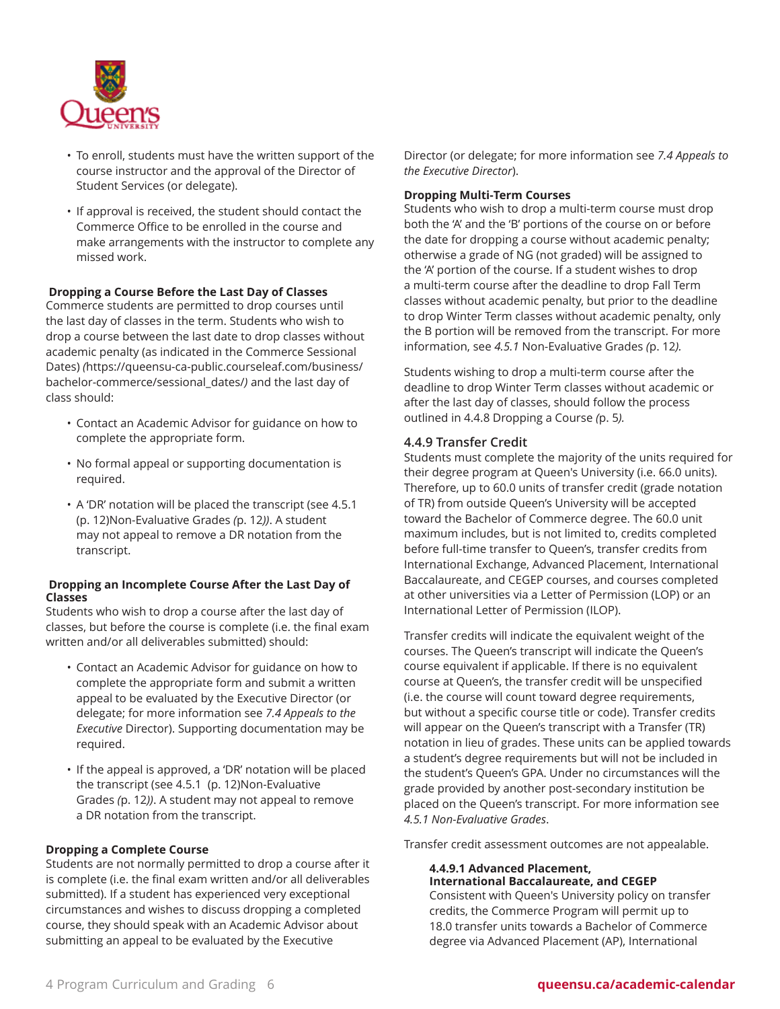

- To enroll, students must have the written support of the course instructor and the approval of the Director of Student Services (or delegate).
- If approval is received, the student should contact the Commerce Office to be enrolled in the course and make arrangements with the instructor to complete any missed work.

#### **Dropping a Course Before the Last Day of Classes**

Commerce students are permitted to drop courses until the last day of classes in the term. Students who wish to drop a course between the last date to drop classes without academic penalty (as indicated in the [Commerce](https://queensu-ca-public.courseleaf.com/business/bachelor-commerce/sessional_dates/) Sessional [Dates\)](https://queensu-ca-public.courseleaf.com/business/bachelor-commerce/sessional_dates/) *(*[https://queensu-ca-public.courseleaf.com/business/](https://queensu-ca-public.courseleaf.com/business/bachelor-commerce/sessional_dates/) [bachelor-commerce/sessional\\_dates/](https://queensu-ca-public.courseleaf.com/business/bachelor-commerce/sessional_dates/)*)* and the last day of class should:

- Contact an Academic Advisor for guidance on how to complete the appropriate form.
- No formal appeal or supporting documentation is required.
- A 'DR' notation will be placed the transcript (see [4.5.1](#page-11-0)  ([p. 12](#page-11-0))[Non-Evaluative](#page-11-0) Grades *(*[p. 12](#page-11-0)*))*. A student may not appeal to remove a DR notation from the transcript.

#### **Dropping an Incomplete Course After the Last Day of Classes**

Students who wish to drop a course after the last day of classes, but before the course is complete (i.e. the final exam written and/or all deliverables submitted) should:

- Contact an Academic Advisor for guidance on how to complete the appropriate form and submit a written appeal to be evaluated by the Executive Director (or delegate; for more information see *7.4 Appeals to the Executive* Director). Supporting documentation may be required.
- If the appeal is approved, a 'DR' notation will be placed the transcript (see [4.5.1](#page-11-0) ([p. 12](#page-11-0))[Non-Evaluative](#page-11-0) [Grades](#page-11-0) *(*[p. 12](#page-11-0)*))*. A student may not appeal to remove a DR notation from the transcript.

#### **Dropping a Complete Course**

Students are not normally permitted to drop a course after it is complete (i.e. the final exam written and/or all deliverables submitted). If a student has experienced very exceptional circumstances and wishes to discuss dropping a completed course, they should speak with an Academic Advisor about submitting an appeal to be evaluated by the Executive

Director (or delegate; for more information see *7.4 Appeals to the Executive Director*).

#### **Dropping Multi-Term Courses**

Students who wish to drop a multi-term course must drop both the 'A' and the 'B' portions of the course on or before the date for dropping a course without academic penalty; otherwise a grade of NG (not graded) will be assigned to the 'A' portion of the course. If a student wishes to drop a multi-term course after the deadline to drop Fall Term classes without academic penalty, but prior to the deadline to drop Winter Term classes without academic penalty, only the B portion will be removed from the transcript. For more information, see *4.5.1* [Non-Evaluative](#page-11-0) Grades *(*[p. 12](#page-11-0)*).*

Students wishing to drop a multi-term course after the deadline to drop Winter Term classes without academic or after the last day of classes, should follow the process outlined in 4.4.8 [Dropping](#page-4-0) a Course *(*[p. 5](#page-4-0)*).*

#### <span id="page-5-0"></span>**4.4.9 Transfer Credit**

Students must complete the majority of the units required for their degree program at Queen's University (i.e. 66.0 units). Therefore, up to 60.0 units of transfer credit (grade notation of TR) from outside Queen's University will be accepted toward the Bachelor of Commerce degree. The 60.0 unit maximum includes, but is not limited to, credits completed before full-time transfer to Queen's, transfer credits from International Exchange, Advanced Placement, International Baccalaureate, and CEGEP courses, and courses completed at other universities via a Letter of Permission (LOP) or an International Letter of Permission (ILOP).

Transfer credits will indicate the equivalent weight of the courses. The Queen's transcript will indicate the Queen's course equivalent if applicable. If there is no equivalent course at Queen's, the transfer credit will be unspecified (i.e. the course will count toward degree requirements, but without a specific course title or code). Transfer credits will appear on the Queen's transcript with a Transfer (TR) notation in lieu of grades. These units can be applied towards a student's degree requirements but will not be included in the student's Queen's GPA. Under no circumstances will the grade provided by another post-secondary institution be placed on the Queen's transcript. For more information see *4.5.1 Non-Evaluative Grades*.

Transfer credit assessment outcomes are not appealable.

#### **4.4.9.1 Advanced Placement, International Baccalaureate, and CEGEP**

Consistent with Queen's University policy on transfer credits, the Commerce Program will permit up to 18.0 transfer units towards a Bachelor of Commerce degree via Advanced Placement (AP), International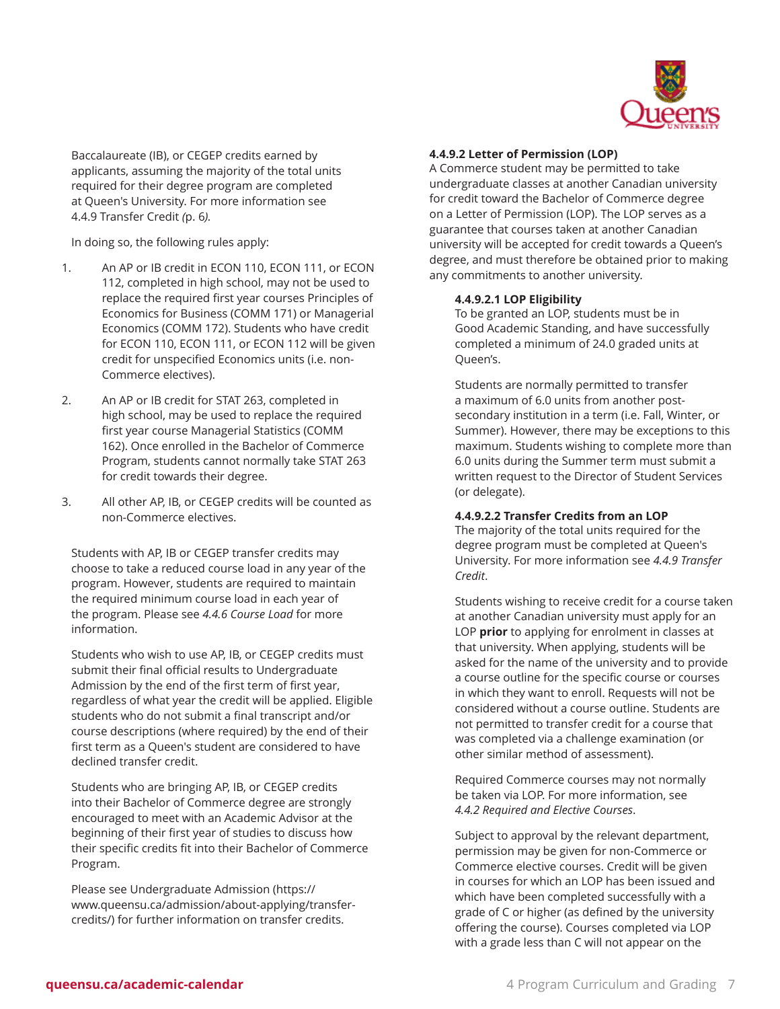

Baccalaureate (IB), or CEGEP credits earned by applicants, assuming the majority of the total units required for their degree program are completed at Queen's University. For more information see 4.4.9 [Transfer](#page-5-0) Credit *(*[p. 6](#page-5-0)*).*

In doing so, the following rules apply:

- 1. An AP or IB credit in ECON 110, ECON 111, or ECON 112, completed in high school, may not be used to replace the required first year courses Principles of Economics for Business (COMM 171) or Managerial Economics (COMM 172). Students who have credit for ECON 110, ECON 111, or ECON 112 will be given credit for unspecified Economics units (i.e. non-Commerce electives).
- 2. An AP or IB credit for STAT 263, completed in high school, may be used to replace the required first year course Managerial Statistics (COMM 162). Once enrolled in the Bachelor of Commerce Program, students cannot normally take STAT 263 for credit towards their degree.
- 3. All other AP, IB, or CEGEP credits will be counted as non-Commerce electives.

Students with AP, IB or CEGEP transfer credits may choose to take a reduced course load in any year of the program. However, students are required to maintain the required minimum course load in each year of the program. Please see *4.4.6 Course Load* for more information.

Students who wish to use AP, IB, or CEGEP credits must submit their final official results to Undergraduate Admission by the end of the first term of first year, regardless of what year the credit will be applied. Eligible students who do not submit a final transcript and/or course descriptions (where required) by the end of their first term as a Queen's student are considered to have declined transfer credit.

Students who are bringing AP, IB, or CEGEP credits into their Bachelor of Commerce degree are strongly encouraged to meet with an Academic Advisor at the beginning of their first year of studies to discuss how their specific credits fit into their Bachelor of Commerce Program.

Please see [Undergraduate](https://www.queensu.ca/admission/about-applying/transfer-credits/) Admission ([https://](https://www.queensu.ca/admission/about-applying/transfer-credits/) [www.queensu.ca/admission/about-applying/transfer](https://www.queensu.ca/admission/about-applying/transfer-credits/)[credits/](https://www.queensu.ca/admission/about-applying/transfer-credits/)) for further information on transfer credits.

#### **4.4.9.2 Letter of Permission (LOP)**

A Commerce student may be permitted to take undergraduate classes at another Canadian university for credit toward the Bachelor of Commerce degree on a Letter of Permission (LOP). The LOP serves as a guarantee that courses taken at another Canadian university will be accepted for credit towards a Queen's degree, and must therefore be obtained prior to making any commitments to another university.

#### **4.4.9.2.1 LOP Eligibility**

To be granted an LOP, students must be in Good Academic Standing, and have successfully completed a minimum of 24.0 graded units at Queen's.

Students are normally permitted to transfer a maximum of 6.0 units from another postsecondary institution in a term (i.e. Fall, Winter, or Summer). However, there may be exceptions to this maximum. Students wishing to complete more than 6.0 units during the Summer term must submit a written request to the Director of Student Services (or delegate).

#### **4.4.9.2.2 Transfer Credits from an LOP**

The majority of the total units required for the degree program must be completed at Queen's University. For more information see *4.4.9 Transfer Credit*.

Students wishing to receive credit for a course taken at another Canadian university must apply for an LOP **prior** to applying for enrolment in classes at that university. When applying, students will be asked for the name of the university and to provide a course outline for the specific course or courses in which they want to enroll. Requests will not be considered without a course outline. Students are not permitted to transfer credit for a course that was completed via a challenge examination (or other similar method of assessment).

Required Commerce courses may not normally be taken via LOP. For more information, see *4.4.2 Required and Elective Courses*.

Subject to approval by the relevant department, permission may be given for non-Commerce or Commerce elective courses. Credit will be given in courses for which an LOP has been issued and which have been completed successfully with a grade of C or higher (as defined by the university offering the course). Courses completed via LOP with a grade less than C will not appear on the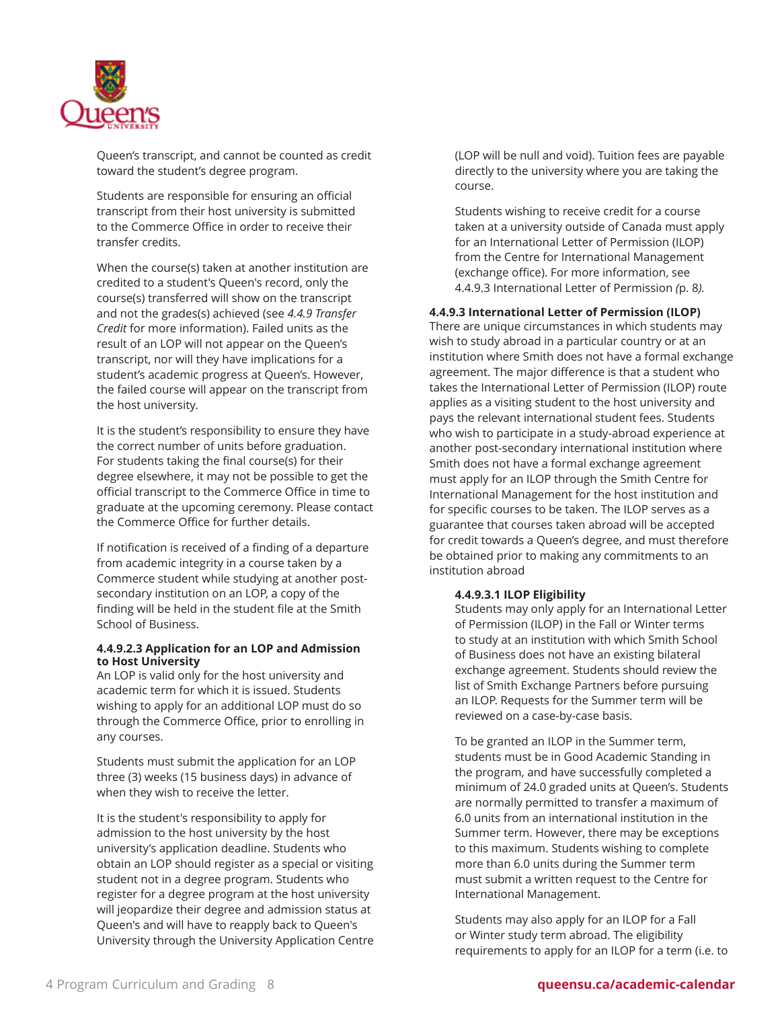

Queen's transcript, and cannot be counted as credit toward the student's degree program.

Students are responsible for ensuring an official transcript from their host university is submitted to the Commerce Office in order to receive their transfer credits.

When the course(s) taken at another institution are credited to a student's Queen's record, only the course(s) transferred will show on the transcript and not the grades(s) achieved (see *4.4.9 Transfer Credit* for more information). Failed units as the result of an LOP will not appear on the Queen's transcript, nor will they have implications for a student's academic progress at Queen's. However, the failed course will appear on the transcript from the host university.

It is the student's responsibility to ensure they have the correct number of units before graduation. For students taking the final course(s) for their degree elsewhere, it may not be possible to get the official transcript to the Commerce Office in time to graduate at the upcoming ceremony. Please contact the Commerce Office for further details.

If notification is received of a finding of a departure from academic integrity in a course taken by a Commerce student while studying at another postsecondary institution on an LOP, a copy of the finding will be held in the student file at the Smith School of Business.

#### **4.4.9.2.3 Application for an LOP and Admission to Host University**

An LOP is valid only for the host university and academic term for which it is issued. Students wishing to apply for an additional LOP must do so through the Commerce Office, prior to enrolling in any courses.

Students must submit the application for an LOP three (3) weeks (15 business days) in advance of when they wish to receive the letter.

It is the student's responsibility to apply for admission to the host university by the host university's application deadline. Students who obtain an LOP should register as a special or visiting student not in a degree program. Students who register for a degree program at the host university will jeopardize their degree and admission status at Queen's and will have to reapply back to Queen's University through the University Application Centre (LOP will be null and void). Tuition fees are payable directly to the university where you are taking the course.

Students wishing to receive credit for a course taken at a university outside of Canada must apply for an International Letter of Permission (ILOP) from the Centre for International Management (exchange office). For more information, see [4.4.9.3 International Letter of Permission](#page-7-0) *(*[p. 8](#page-7-0)*).*

#### <span id="page-7-0"></span>**4.4.9.3 International Letter of Permission (ILOP)**

There are unique circumstances in which students may wish to study abroad in a particular country or at an institution where Smith does not have a formal exchange agreement. The major difference is that a student who takes the International Letter of Permission (ILOP) route applies as a visiting student to the host university and pays the relevant international student fees. Students who wish to participate in a study-abroad experience at another post-secondary international institution where Smith does not have a formal exchange agreement must apply for an ILOP through the Smith Centre for International Management for the host institution and for specific courses to be taken. The ILOP serves as a guarantee that courses taken abroad will be accepted for credit towards a Queen's degree, and must therefore be obtained prior to making any commitments to an institution abroad

#### **4.4.9.3.1 ILOP Eligibility**

Students may only apply for an International Letter of Permission (ILOP) in the Fall or Winter terms to study at an institution with which Smith School of Business does not have an existing bilateral exchange agreement. Students should review the list of Smith Exchange Partners before pursuing an ILOP. Requests for the Summer term will be reviewed on a case-by-case basis.

To be granted an ILOP in the Summer term, students must be in Good Academic Standing in the program, and have successfully completed a minimum of 24.0 graded units at Queen's. Students are normally permitted to transfer a maximum of 6.0 units from an international institution in the Summer term. However, there may be exceptions to this maximum. Students wishing to complete more than 6.0 units during the Summer term must submit a written request to the Centre for International Management.

Students may also apply for an ILOP for a Fall or Winter study term abroad. The eligibility requirements to apply for an ILOP for a term (i.e. to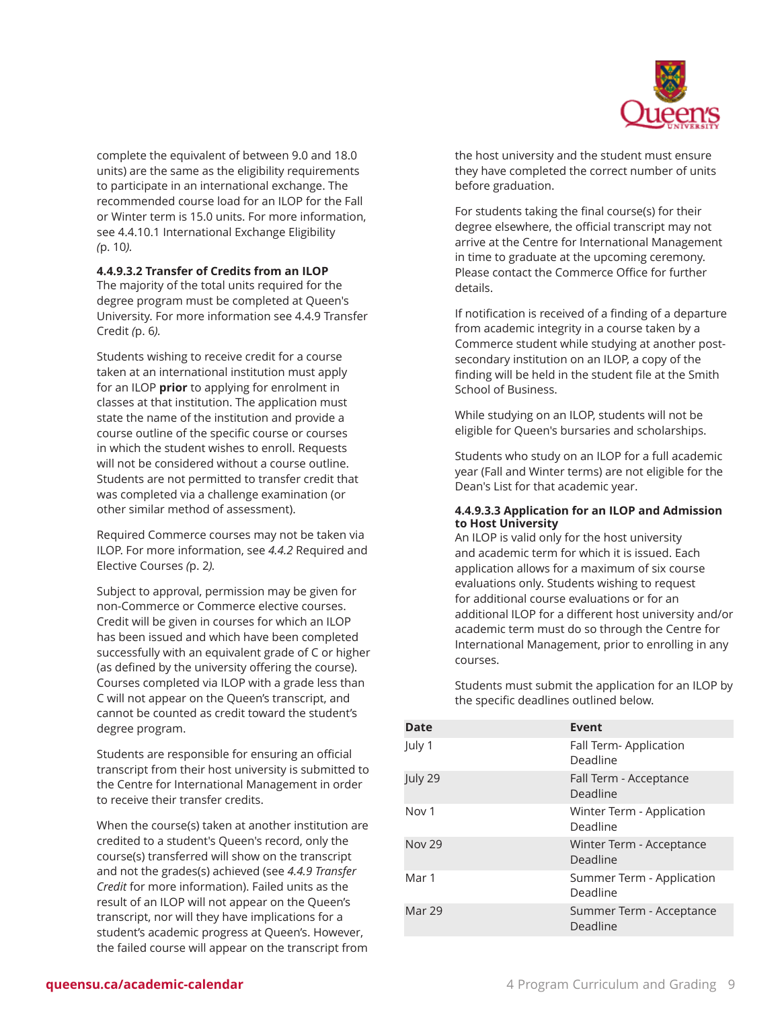

complete the equivalent of between 9.0 and 18.0 units) are the same as the eligibility requirements to participate in an international exchange. The recommended course load for an ILOP for the Fall or Winter term is 15.0 units. For more information, see 4.4.10.1 [International](#page-9-0) Exchange Eligibility *(*[p. 10](#page-9-0)*).*

**4.4.9.3.2 Transfer of Credits from an ILOP** The majority of the total units required for the degree program must be completed at Queen's University. For more information see 4.4.9 [Transfer](#page-5-0) [Credit](#page-5-0) *(*[p. 6](#page-5-0)*).*

Students wishing to receive credit for a course taken at an international institution must apply for an ILOP **prior** to applying for enrolment in classes at that institution. The application must state the name of the institution and provide a course outline of the specific course or courses in which the student wishes to enroll. Requests will not be considered without a course outline. Students are not permitted to transfer credit that was completed via a challenge examination (or other similar method of assessment).

Required Commerce courses may not be taken via ILOP. For more information, see *4.4.2* [Required](#page-1-0) and [Elective Courses](#page-1-0) *(*[p. 2](#page-1-0)*).*

Subject to approval, permission may be given for non-Commerce or Commerce elective courses. Credit will be given in courses for which an ILOP has been issued and which have been completed successfully with an equivalent grade of C or higher (as defined by the university offering the course). Courses completed via ILOP with a grade less than C will not appear on the Queen's transcript, and cannot be counted as credit toward the student's degree program.

Students are responsible for ensuring an official transcript from their host university is submitted to the Centre for International Management in order to receive their transfer credits.

When the course(s) taken at another institution are credited to a student's Queen's record, only the course(s) transferred will show on the transcript and not the grades(s) achieved (see *4.4.9 Transfer Credit* for more information). Failed units as the result of an ILOP will not appear on the Queen's transcript, nor will they have implications for a student's academic progress at Queen's. However, the failed course will appear on the transcript from the host university and the student must ensure they have completed the correct number of units before graduation.

For students taking the final course(s) for their degree elsewhere, the official transcript may not arrive at the Centre for International Management in time to graduate at the upcoming ceremony. Please contact the Commerce Office for further details.

If notification is received of a finding of a departure from academic integrity in a course taken by a Commerce student while studying at another postsecondary institution on an ILOP, a copy of the finding will be held in the student file at the Smith School of Business.

While studying on an ILOP, students will not be eligible for Queen's bursaries and scholarships.

Students who study on an ILOP for a full academic year (Fall and Winter terms) are not eligible for the Dean's List for that academic year.

#### **4.4.9.3.3 Application for an ILOP and Admission to Host University**

An ILOP is valid only for the host university and academic term for which it is issued. Each application allows for a maximum of six course evaluations only. Students wishing to request for additional course evaluations or for an additional ILOP for a different host university and/or academic term must do so through the Centre for International Management, prior to enrolling in any courses.

Students must submit the application for an ILOP by the specific deadlines outlined below.

| <b>Date</b>      | Event                                 |
|------------------|---------------------------------------|
| July 1           | Fall Term- Application<br>Deadline    |
| July 29          | Fall Term - Acceptance<br>Deadline    |
| Nov <sub>1</sub> | Winter Term - Application<br>Deadline |
| <b>Nov 29</b>    | Winter Term - Acceptance<br>Deadline  |
| Mar 1            | Summer Term - Application<br>Deadline |
| Mar 29           | Summer Term - Acceptance<br>Deadline  |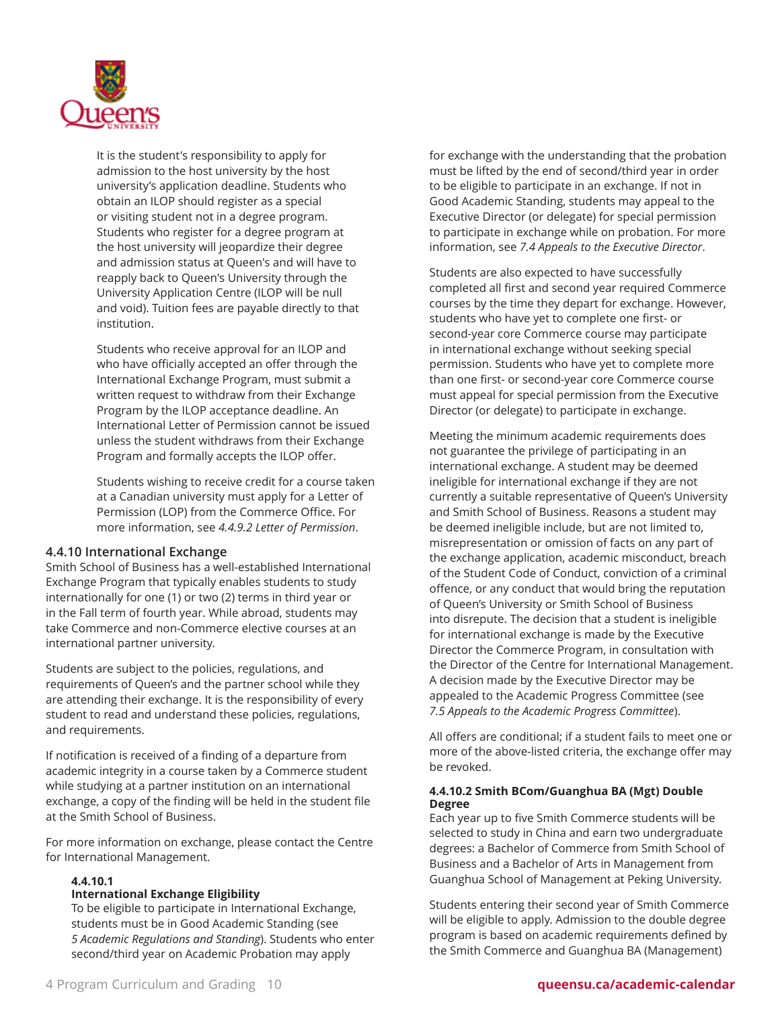

It is the student's responsibility to apply for admission to the host university by the host university's application deadline. Students who obtain an ILOP should register as a special or visiting student not in a degree program. Students who register for a degree program at the host university will jeopardize their degree and admission status at Queen's and will have to reapply back to Queen's University through the University Application Centre (ILOP will be null and void). Tuition fees are payable directly to that institution.

Students who receive approval for an ILOP and who have officially accepted an offer through the International Exchange Program, must submit a written request to withdraw from their Exchange Program by the ILOP acceptance deadline. An International Letter of Permission cannot be issued unless the student withdraws from their Exchange Program and formally accepts the ILOP offer.

Students wishing to receive credit for a course taken at a Canadian university must apply for a Letter of Permission (LOP) from the Commerce Office. For more information, see *4.4.9.2 Letter of Permission*.

#### **4.4.10 International Exchange**

Smith School of Business has a well-established International Exchange Program that typically enables students to study internationally for one (1) or two (2) terms in third year or in the Fall term of fourth year. While abroad, students may take Commerce and non-Commerce elective courses at an international partner university.

Students are subject to the policies, regulations, and requirements of Queen's and the partner school while they are attending their exchange. It is the responsibility of every student to read and understand these policies, regulations, and requirements.

If notification is received of a finding of a departure from academic integrity in a course taken by a Commerce student while studying at a partner institution on an international exchange, a copy of the finding will be held in the student file at the Smith School of Business.

For more information on exchange, please contact the Centre for International Management.

#### <span id="page-9-0"></span>**4.4.10.1**

#### **International Exchange Eligibility**

To be eligible to participate in International Exchange, students must be in Good Academic Standing (see *5 Academic Regulations and Standing*). Students who enter second/third year on Academic Probation may apply

for exchange with the understanding that the probation must be lifted by the end of second/third year in order to be eligible to participate in an exchange. If not in Good Academic Standing, students may appeal to the Executive Director (or delegate) for special permission to participate in exchange while on probation. For more information, see *7.4 Appeals to the Executive Director*.

Students are also expected to have successfully completed all first and second year required Commerce courses by the time they depart for exchange. However, students who have yet to complete one first- or second-year core Commerce course may participate in international exchange without seeking special permission. Students who have yet to complete more than one first- or second-year core Commerce course must appeal for special permission from the Executive Director (or delegate) to participate in exchange.

Meeting the minimum academic requirements does not guarantee the privilege of participating in an international exchange. A student may be deemed ineligible for international exchange if they are not currently a suitable representative of Queen's University and Smith School of Business. Reasons a student may be deemed ineligible include, but are not limited to, misrepresentation or omission of facts on any part of the exchange application, academic misconduct, breach of the Student Code of Conduct, conviction of a criminal offence, or any conduct that would bring the reputation of Queen's University or Smith School of Business into disrepute. The decision that a student is ineligible for international exchange is made by the Executive Director the Commerce Program, in consultation with the Director of the Centre for International Management. A decision made by the Executive Director may be appealed to the Academic Progress Committee (see *7.5 Appeals to the Academic Progress Committee*).

All offers are conditional; if a student fails to meet one or more of the above-listed criteria, the exchange offer may be revoked.

#### **4.4.10.2 Smith BCom/Guanghua BA (Mgt) Double Degree**

Each year up to five Smith Commerce students will be selected to study in China and earn two undergraduate degrees: a Bachelor of Commerce from Smith School of Business and a Bachelor of Arts in Management from Guanghua School of Management at Peking University.

Students entering their second year of Smith Commerce will be eligible to apply. Admission to the double degree program is based on academic requirements defined by the Smith Commerce and Guanghua BA (Management)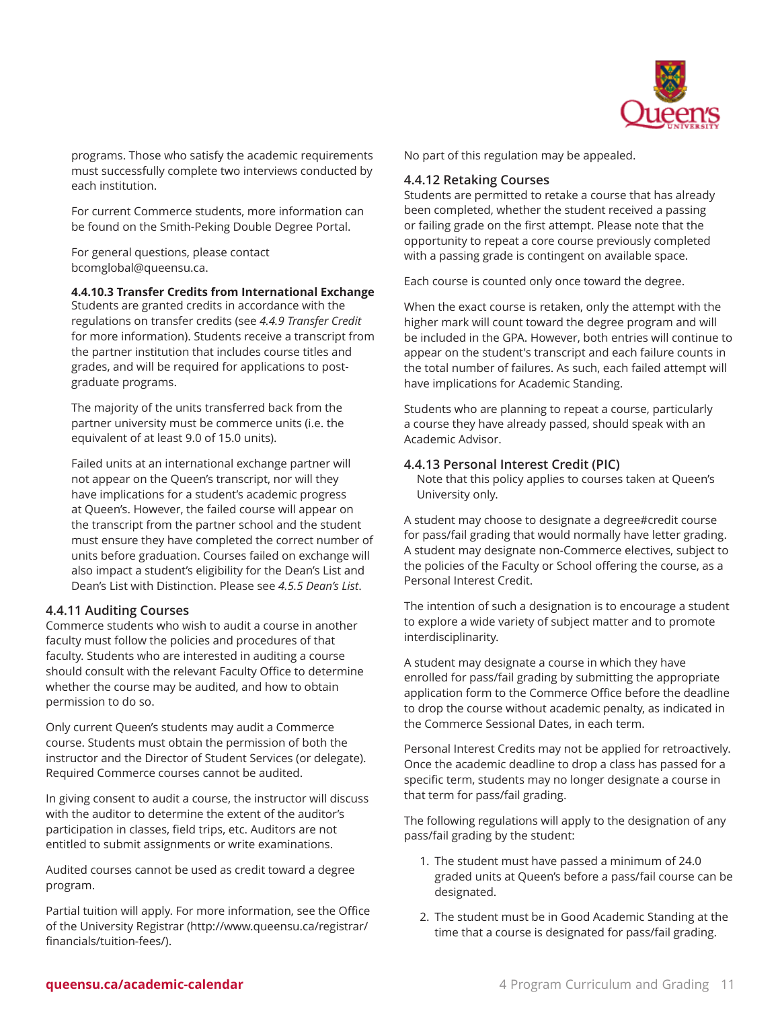

programs. Those who satisfy the academic requirements must successfully complete two interviews conducted by each institution.

For current Commerce students, more information can be found on the Smith-Peking Double Degree Portal.

For general questions, please contact [bcomglobal@queensu.ca](mailto:bcomglobal@queensu.ca).

#### **4.4.10.3 Transfer Credits from International Exchange**

Students are granted credits in accordance with the regulations on transfer credits (see *4.4.9 Transfer Credit* for more information). Students receive a transcript from the partner institution that includes course titles and grades, and will be required for applications to postgraduate programs.

The majority of the units transferred back from the partner university must be commerce units (i.e. the equivalent of at least 9.0 of 15.0 units).

Failed units at an international exchange partner will not appear on the Queen's transcript, nor will they have implications for a student's academic progress at Queen's. However, the failed course will appear on the transcript from the partner school and the student must ensure they have completed the correct number of units before graduation. Courses failed on exchange will also impact a student's eligibility for the Dean's List and Dean's List with Distinction. Please see *4.5.5 Dean's List*.

#### **4.4.11 Auditing Courses**

Commerce students who wish to audit a course in another faculty must follow the policies and procedures of that faculty. Students who are interested in auditing a course should consult with the relevant Faculty Office to determine whether the course may be audited, and how to obtain permission to do so.

Only current Queen's students may audit a Commerce course. Students must obtain the permission of both the instructor and the Director of Student Services (or delegate). Required Commerce courses cannot be audited.

In giving consent to audit a course, the instructor will discuss with the auditor to determine the extent of the auditor's participation in classes, field trips, etc. Auditors are not entitled to submit assignments or write examinations.

Audited courses cannot be used as credit toward a degree program.

Partial tuition will apply. For more information, see the [Office](http://www.queensu.ca/registrar/financials/tuition-fees/) of the [University](http://www.queensu.ca/registrar/financials/tuition-fees/) Registrar [\(http://www.queensu.ca/registrar/](http://www.queensu.ca/registrar/financials/tuition-fees/) [financials/tuition-fees/\)](http://www.queensu.ca/registrar/financials/tuition-fees/).

No part of this regulation may be appealed.

#### **4.4.12 Retaking Courses**

Students are permitted to retake a course that has already been completed, whether the student received a passing or failing grade on the first attempt. Please note that the opportunity to repeat a core course previously completed with a passing grade is contingent on available space.

Each course is counted only once toward the degree.

When the exact course is retaken, only the attempt with the higher mark will count toward the degree program and will be included in the GPA. However, both entries will continue to appear on the student's transcript and each failure counts in the total number of failures. As such, each failed attempt will have implications for Academic Standing.

Students who are planning to repeat a course, particularly a course they have already passed, should speak with an Academic Advisor.

#### **4.4.13 Personal Interest Credit (PIC)**

Note that this policy applies to courses taken at Queen's University only.

A student may choose to designate a degree#credit course for pass/fail grading that would normally have letter grading. A student may designate non-Commerce electives, subject to the policies of the Faculty or School offering the course, as a Personal Interest Credit.

The intention of such a designation is to encourage a student to explore a wide variety of subject matter and to promote interdisciplinarity.

A student may designate a course in which they have enrolled for pass/fail grading by submitting the appropriate application form to the Commerce Office before the deadline to drop the course without academic penalty, as indicated in the Commerce Sessional Dates, in each term.

Personal Interest Credits may not be applied for retroactively. Once the academic deadline to drop a class has passed for a specific term, students may no longer designate a course in that term for pass/fail grading.

The following regulations will apply to the designation of any pass/fail grading by the student:

- 1. The student must have passed a minimum of 24.0 graded units at Queen's before a pass/fail course can be designated.
- 2. The student must be in Good Academic Standing at the time that a course is designated for pass/fail grading.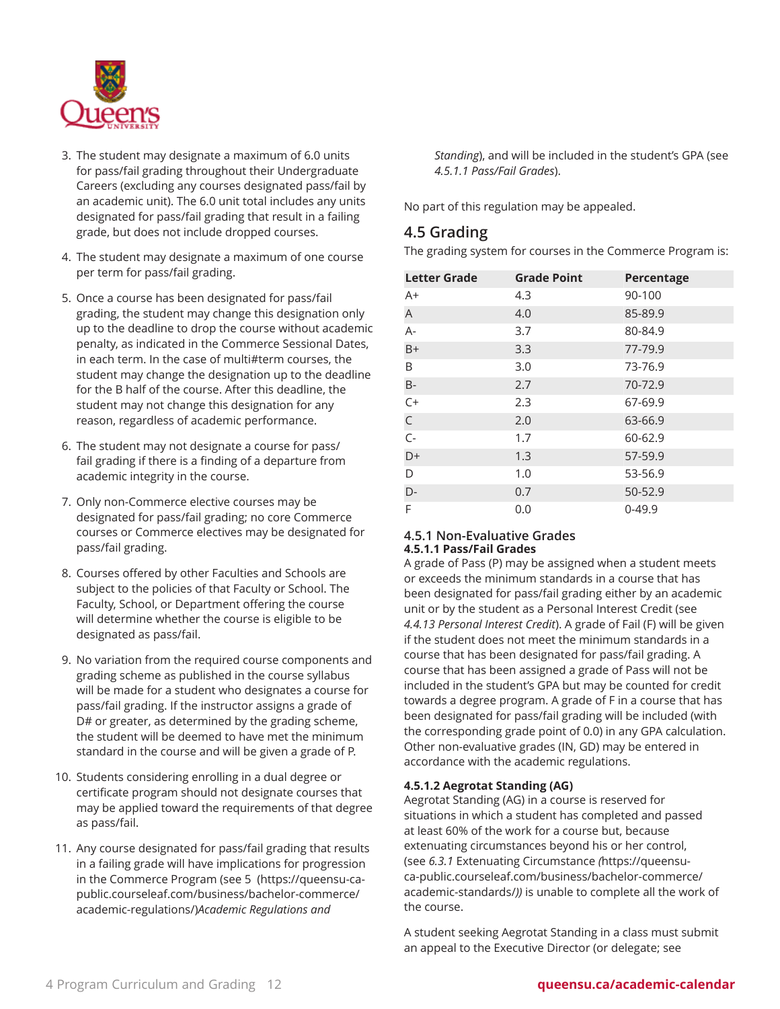

- 3. The student may designate a maximum of 6.0 units for pass/fail grading throughout their Undergraduate Careers (excluding any courses designated pass/fail by an academic unit). The 6.0 unit total includes any units designated for pass/fail grading that result in a failing grade, but does not include dropped courses.
- 4. The student may designate a maximum of one course per term for pass/fail grading.
- 5. Once a course has been designated for pass/fail grading, the student may change this designation only up to the deadline to drop the course without academic penalty, as indicated in the Commerce Sessional Dates, in each term. In the case of multi#term courses, the student may change the designation up to the deadline for the B half of the course. After this deadline, the student may not change this designation for any reason, regardless of academic performance.
- 6. The student may not designate a course for pass/ fail grading if there is a finding of a departure from academic integrity in the course.
- 7. Only non-Commerce elective courses may be designated for pass/fail grading; no core Commerce courses or Commerce electives may be designated for pass/fail grading.
- 8. Courses offered by other Faculties and Schools are subject to the policies of that Faculty or School. The Faculty, School, or Department offering the course will determine whether the course is eligible to be designated as pass/fail.
- 9. No variation from the required course components and grading scheme as published in the course syllabus will be made for a student who designates a course for pass/fail grading. If the instructor assigns a grade of D# or greater, as determined by the grading scheme, the student will be deemed to have met the minimum standard in the course and will be given a grade of P.
- 10. Students considering enrolling in a dual degree or certificate program should not designate courses that may be applied toward the requirements of that degree as pass/fail.
- 11. Any course designated for pass/fail grading that results in a failing grade will have implications for progression in the Commerce Program (see [5](https://queensu-ca-public.courseleaf.com/business/bachelor-commerce/academic-regulations/) ([https://queensu-ca](https://queensu-ca-public.courseleaf.com/business/bachelor-commerce/academic-regulations/)[public.courseleaf.com/business/bachelor-commerce/](https://queensu-ca-public.courseleaf.com/business/bachelor-commerce/academic-regulations/) [academic-regulations/\)](https://queensu-ca-public.courseleaf.com/business/bachelor-commerce/academic-regulations/)*Academic Regulations and*

*Standing*), and will be included in the student's GPA (see *4.5.1.1 Pass/Fail Grades*).

No part of this regulation may be appealed.

## <span id="page-11-0"></span>**4.5 Grading**

The grading system for courses in the Commerce Program is:

| <b>Letter Grade</b> | <b>Grade Point</b> | Percentage |
|---------------------|--------------------|------------|
| $A+$                | 4.3                | 90-100     |
| A                   | 4.0                | 85-89.9    |
| $A -$               | 3.7                | 80-84.9    |
| $B+$                | 3.3                | 77-79.9    |
| B                   | 3.0                | 73-76.9    |
| $B -$               | 2.7                | 70-72.9    |
| $C+$                | 2.3                | 67-69.9    |
| $\mathsf C$         | 2.0                | 63-66.9    |
| $C -$               | 1.7                | 60-62.9    |
| D+                  | 1.3                | 57-59.9    |
| D                   | 1.0                | 53-56.9    |
| $D-$                | 0.7                | 50-52.9    |
| F                   | 0.0                | $0 - 49.9$ |

#### **4.5.1 Non-Evaluative Grades 4.5.1.1 Pass/Fail Grades**

A grade of Pass (P) may be assigned when a student meets or exceeds the minimum standards in a course that has been designated for pass/fail grading either by an academic unit or by the student as a Personal Interest Credit (see *4.4.13 Personal Interest Credit*). A grade of Fail (F) will be given if the student does not meet the minimum standards in a course that has been designated for pass/fail grading. A course that has been assigned a grade of Pass will not be included in the student's GPA but may be counted for credit towards a degree program. A grade of F in a course that has been designated for pass/fail grading will be included (with the corresponding grade point of 0.0) in any GPA calculation. Other non-evaluative grades (IN, GD) may be entered in accordance with the academic regulations.

### **4.5.1.2 Aegrotat Standing (AG)**

Aegrotat Standing (AG) in a course is reserved for situations in which a student has completed and passed at least 60% of the work for a course but, because extenuating circumstances beyond his or her control, (see *6.3.1* Extenuating [Circumstance](https://queensu-ca-public.courseleaf.com/business/bachelor-commerce/academic-standards/) *(*[https://queensu](https://queensu-ca-public.courseleaf.com/business/bachelor-commerce/academic-standards/)[ca-public.courseleaf.com/business/bachelor-commerce/](https://queensu-ca-public.courseleaf.com/business/bachelor-commerce/academic-standards/) [academic-standards/](https://queensu-ca-public.courseleaf.com/business/bachelor-commerce/academic-standards/)*))* is unable to complete all the work of the course.

A student seeking Aegrotat Standing in a class must submit an appeal to the Executive Director (or delegate; see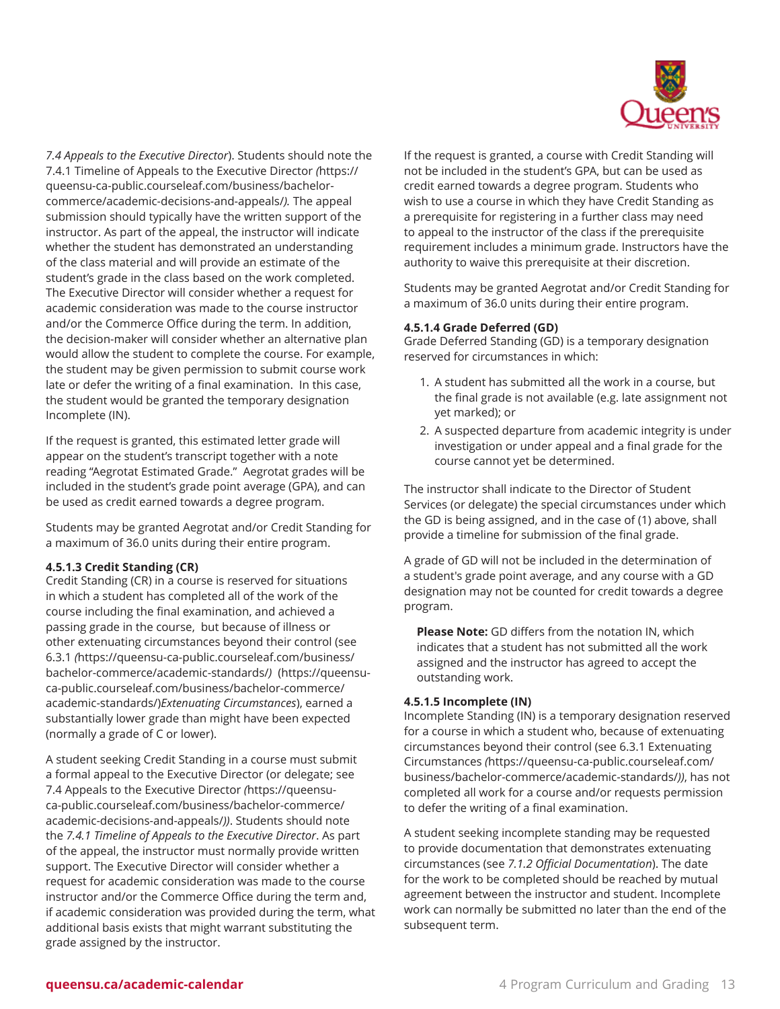

*7.4 Appeals to the Executive Director*). Students should note the 7.4.1 Timeline of Appeals to the [Executive](https://queensu-ca-public.courseleaf.com/business/bachelor-commerce/academic-decisions-and-appeals/) Director *(*[https://](https://queensu-ca-public.courseleaf.com/business/bachelor-commerce/academic-decisions-and-appeals/) [queensu-ca-public.courseleaf.com/business/bachelor](https://queensu-ca-public.courseleaf.com/business/bachelor-commerce/academic-decisions-and-appeals/)[commerce/academic-decisions-and-appeals/](https://queensu-ca-public.courseleaf.com/business/bachelor-commerce/academic-decisions-and-appeals/)*).* The appeal submission should typically have the written support of the instructor. As part of the appeal, the instructor will indicate whether the student has demonstrated an understanding of the class material and will provide an estimate of the student's grade in the class based on the work completed. The Executive Director will consider whether a request for academic consideration was made to the course instructor and/or the Commerce Office during the term. In addition, the decision-maker will consider whether an alternative plan would allow the student to complete the course. For example, the student may be given permission to submit course work late or defer the writing of a final examination. In this case, the student would be granted the temporary designation Incomplete (IN).

If the request is granted, this estimated letter grade will appear on the student's transcript together with a note reading "Aegrotat Estimated Grade." Aegrotat grades will be included in the student's grade point average (GPA), and can be used as credit earned towards a degree program.

Students may be granted Aegrotat and/or Credit Standing for a maximum of 36.0 units during their entire program.

#### **4.5.1.3 Credit Standing (CR)**

Credit Standing (CR) in a course is reserved for situations in which a student has completed all of the work of the course including the final examination, and achieved a passing grade in the course, but because of illness or other extenuating circumstances beyond their control (see [6.3.1](https://queensu-ca-public.courseleaf.com/business/bachelor-commerce/academic-standards/) *(*[https://queensu-ca-public.courseleaf.com/business/](https://queensu-ca-public.courseleaf.com/business/bachelor-commerce/academic-standards/) [bachelor-commerce/academic-standards/](https://queensu-ca-public.courseleaf.com/business/bachelor-commerce/academic-standards/)*)*([https://queensu](https://queensu-ca-public.courseleaf.com/business/bachelor-commerce/academic-standards/)[ca-public.courseleaf.com/business/bachelor-commerce/](https://queensu-ca-public.courseleaf.com/business/bachelor-commerce/academic-standards/) [academic-standards/\)](https://queensu-ca-public.courseleaf.com/business/bachelor-commerce/academic-standards/)*Extenuating Circumstances*), earned a substantially lower grade than might have been expected (normally a grade of C or lower).

A student seeking Credit Standing in a course must submit a formal appeal to the Executive Director (or delegate; see 7.4 Appeals to the [Executive](https://queensu-ca-public.courseleaf.com/business/bachelor-commerce/academic-decisions-and-appeals/) Director *(*[https://queensu](https://queensu-ca-public.courseleaf.com/business/bachelor-commerce/academic-decisions-and-appeals/)[ca-public.courseleaf.com/business/bachelor-commerce/](https://queensu-ca-public.courseleaf.com/business/bachelor-commerce/academic-decisions-and-appeals/) [academic-decisions-and-appeals/](https://queensu-ca-public.courseleaf.com/business/bachelor-commerce/academic-decisions-and-appeals/)*))*. Students should note the *7.4.1 Timeline of Appeals to the Executive Director*. As part of the appeal, the instructor must normally provide written support. The Executive Director will consider whether a request for academic consideration was made to the course instructor and/or the Commerce Office during the term and, if academic consideration was provided during the term, what additional basis exists that might warrant substituting the grade assigned by the instructor.

If the request is granted, a course with Credit Standing will not be included in the student's GPA, but can be used as credit earned towards a degree program. Students who wish to use a course in which they have Credit Standing as a prerequisite for registering in a further class may need to appeal to the instructor of the class if the prerequisite requirement includes a minimum grade. Instructors have the authority to waive this prerequisite at their discretion.

Students may be granted Aegrotat and/or Credit Standing for a maximum of 36.0 units during their entire program.

#### **4.5.1.4 Grade Deferred (GD)**

Grade Deferred Standing (GD) is a temporary designation reserved for circumstances in which:

- 1. A student has submitted all the work in a course, but the final grade is not available (e.g. late assignment not yet marked); or
- 2. A suspected departure from academic integrity is under investigation or under appeal and a final grade for the course cannot yet be determined.

The instructor shall indicate to the Director of Student Services (or delegate) the special circumstances under which the GD is being assigned, and in the case of (1) above, shall provide a timeline for submission of the final grade.

A grade of GD will not be included in the determination of a student's grade point average, and any course with a GD designation may not be counted for credit towards a degree program.

**Please Note:** GD differs from the notation IN, which indicates that a student has not submitted all the work assigned and the instructor has agreed to accept the outstanding work.

#### **4.5.1.5 Incomplete (IN)**

Incomplete Standing (IN) is a temporary designation reserved for a course in which a student who, because of extenuating circumstances beyond their control (see [6.3.1 Extenuating](https://queensu-ca-public.courseleaf.com/business/bachelor-commerce/academic-standards/) [Circumstances](https://queensu-ca-public.courseleaf.com/business/bachelor-commerce/academic-standards/) *(*[https://queensu-ca-public.courseleaf.com/](https://queensu-ca-public.courseleaf.com/business/bachelor-commerce/academic-standards/) [business/bachelor-commerce/academic-standards/](https://queensu-ca-public.courseleaf.com/business/bachelor-commerce/academic-standards/)*))*, has not completed all work for a course and/or requests permission to defer the writing of a final examination.

A student seeking incomplete standing may be requested to provide documentation that demonstrates extenuating circumstances (see *7.1.2 Official Documentation*). The date for the work to be completed should be reached by mutual agreement between the instructor and student. Incomplete work can normally be submitted no later than the end of the subsequent term.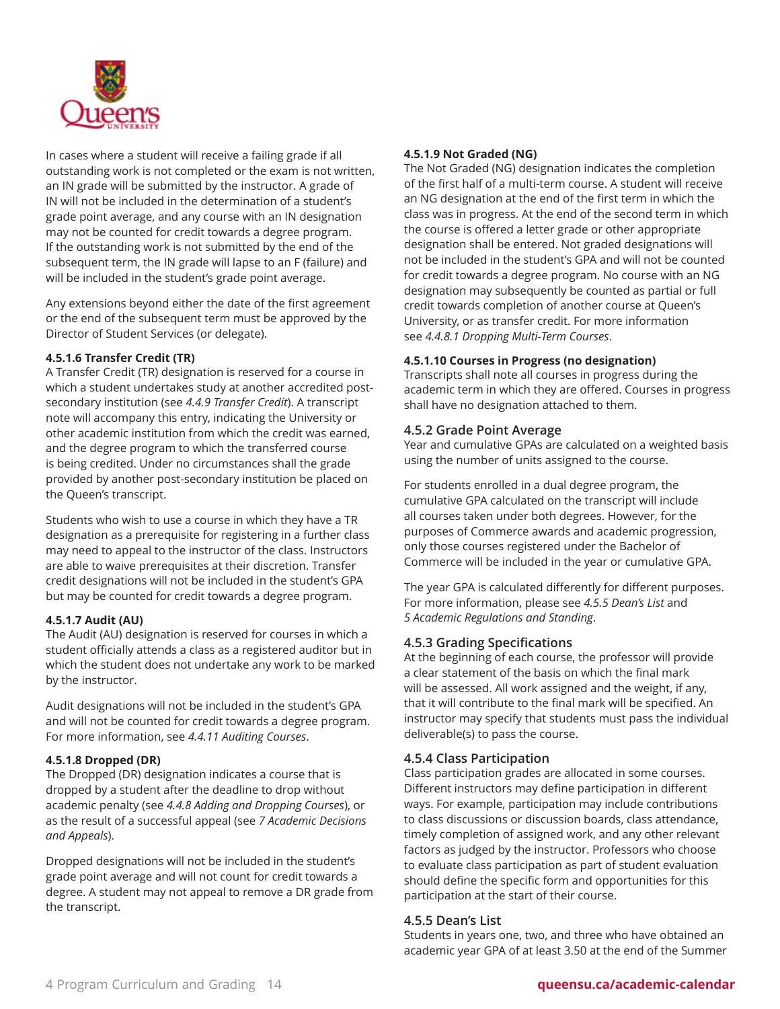

In cases where a student will receive a failing grade if all outstanding work is not completed or the exam is not written, an IN grade will be submitted by the instructor. A grade of IN will not be included in the determination of a student's grade point average, and any course with an IN designation may not be counted for credit towards a degree program. If the outstanding work is not submitted by the end of the subsequent term, the IN grade will lapse to an F (failure) and will be included in the student's grade point average.

Any extensions beyond either the date of the first agreement or the end of the subsequent term must be approved by the Director of Student Services (or delegate).

#### **4.5.1.6 Transfer Credit (TR)**

A Transfer Credit (TR) designation is reserved for a course in which a student undertakes study at another accredited postsecondary institution (see *4.4.9 Transfer Credit*). A transcript note will accompany this entry, indicating the University or other academic institution from which the credit was earned, and the degree program to which the transferred course is being credited. Under no circumstances shall the grade provided by another post-secondary institution be placed on the Queen's transcript.

Students who wish to use a course in which they have a TR designation as a prerequisite for registering in a further class may need to appeal to the instructor of the class. Instructors are able to waive prerequisites at their discretion. Transfer credit designations will not be included in the student's GPA but may be counted for credit towards a degree program.

#### **4.5.1.7 Audit (AU)**

The Audit (AU) designation is reserved for courses in which a student officially attends a class as a registered auditor but in which the student does not undertake any work to be marked by the instructor.

Audit designations will not be included in the student's GPA and will not be counted for credit towards a degree program. For more information, see *4.4.11 Auditing Courses*.

#### **4.5.1.8 Dropped (DR)**

The Dropped (DR) designation indicates a course that is dropped by a student after the deadline to drop without academic penalty (see *4.4.8 Adding and Dropping Courses*), or as the result of a successful appeal (see *7 Academic Decisions and Appeals*).

Dropped designations will not be included in the student's grade point average and will not count for credit towards a degree. A student may not appeal to remove a DR grade from the transcript.

#### **4.5.1.9 Not Graded (NG)**

The Not Graded (NG) designation indicates the completion of the first half of a multi-term course. A student will receive an NG designation at the end of the first term in which the class was in progress. At the end of the second term in which the course is offered a letter grade or other appropriate designation shall be entered. Not graded designations will not be included in the student's GPA and will not be counted for credit towards a degree program. No course with an NG designation may subsequently be counted as partial or full credit towards completion of another course at Queen's University, or as transfer credit. For more information see *4.4.8.1 Dropping Multi-Term Courses*.

#### **4.5.1.10 Courses in Progress (no designation)**

Transcripts shall note all courses in progress during the academic term in which they are offered. Courses in progress shall have no designation attached to them.

#### **4.5.2 Grade Point Average**

Year and cumulative GPAs are calculated on a weighted basis using the number of units assigned to the course.

For students enrolled in a dual degree program, the cumulative GPA calculated on the transcript will include all courses taken under both degrees. However, for the purposes of Commerce awards and academic progression, only those courses registered under the Bachelor of Commerce will be included in the year or cumulative GPA.

The year GPA is calculated differently for different purposes. For more information, please see *4.5.5 Dean's List* and *5 Academic Regulations and Standing*.

### **4.5.3 Grading Specifications**

At the beginning of each course, the professor will provide a clear statement of the basis on which the final mark will be assessed. All work assigned and the weight, if any, that it will contribute to the final mark will be specified. An instructor may specify that students must pass the individual deliverable(s) to pass the course.

#### **4.5.4 Class Participation**

Class participation grades are allocated in some courses. Different instructors may define participation in different ways. For example, participation may include contributions to class discussions or discussion boards, class attendance, timely completion of assigned work, and any other relevant factors as judged by the instructor. Professors who choose to evaluate class participation as part of student evaluation should define the specific form and opportunities for this participation at the start of their course.

#### <span id="page-13-0"></span>**4.5.5 Dean's List**

Students in years one, two, and three who have obtained an academic year GPA of at least 3.50 at the end of the Summer